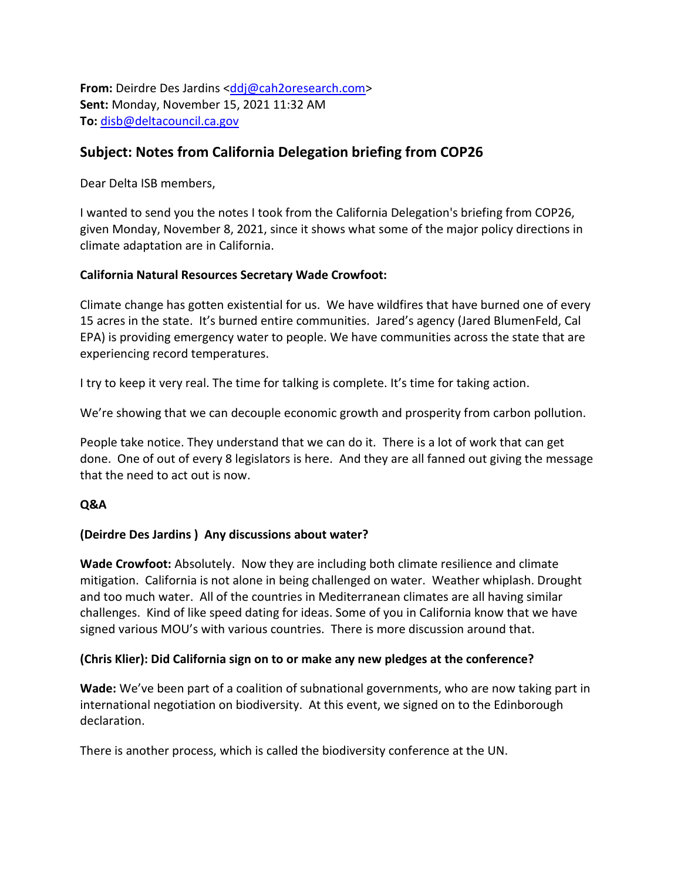**From:** Deirdre Des Jardins [<ddj@cah2oresearch.com>](mailto:ddj@cah2oresearch.com) **Sent:** Monday, November 15, 2021 11:32 AM **To:** [disb@deltacouncil.ca.gov](mailto:disb@deltacouncil.ca.gov)

# **Subject: Notes from California Delegation briefing from COP26**

Dear Delta ISB members,

I wanted to send you the notes I took from the California Delegation's briefing from COP26, given Monday, November 8, 2021, since it shows what some of the major policy directions in climate adaptation are in California.

## **California Natural Resources Secretary Wade Crowfoot:**

Climate change has gotten existential for us. We have wildfires that have burned one of every 15 acres in the state. It's burned entire communities. Jared's agency (Jared BlumenFeld, Cal EPA) is providing emergency water to people. We have communities across the state that are experiencing record temperatures.

I try to keep it very real. The time for talking is complete. It's time for taking action.

We're showing that we can decouple economic growth and prosperity from carbon pollution.

People take notice. They understand that we can do it. There is a lot of work that can get done. One of out of every 8 legislators is here. And they are all fanned out giving the message that the need to act out is now.

## **Q&A**

## **(Deirdre Des Jardins ) Any discussions about water?**

**Wade Crowfoot:** Absolutely. Now they are including both climate resilience and climate mitigation. California is not alone in being challenged on water. Weather whiplash. Drought and too much water. All of the countries in Mediterranean climates are all having similar challenges. Kind of like speed dating for ideas. Some of you in California know that we have signed various MOU's with various countries. There is more discussion around that.

## **(Chris Klier): Did California sign on to or make any new pledges at the conference?**

**Wade:** We've been part of a coalition of subnational governments, who are now taking part in international negotiation on biodiversity. At this event, we signed on to the Edinborough declaration.

There is another process, which is called the biodiversity conference at the UN.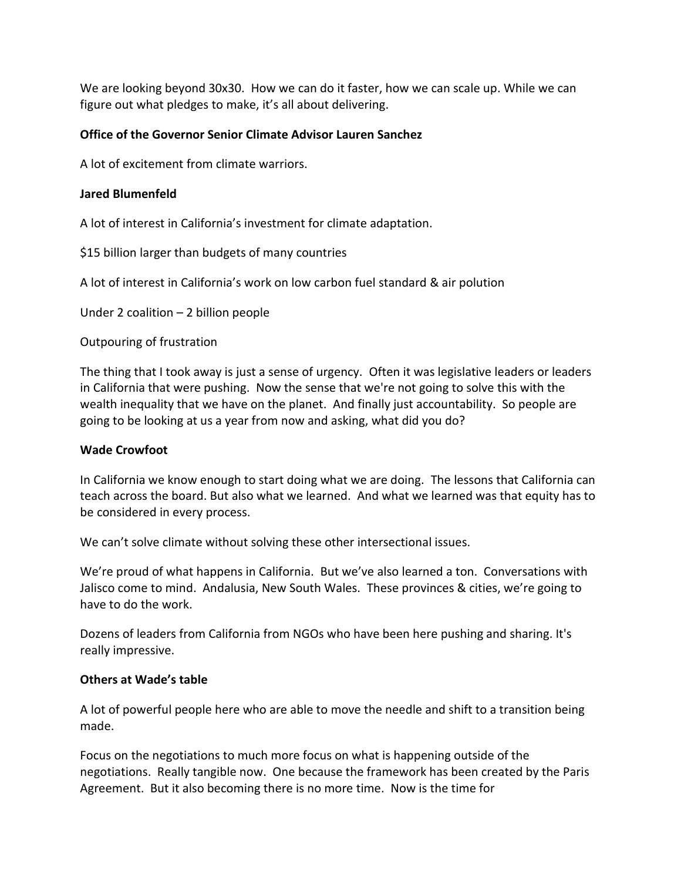We are looking beyond 30x30. How we can do it faster, how we can scale up. While we can figure out what pledges to make, it's all about delivering.

#### **Office of the Governor Senior Climate Advisor Lauren Sanchez**

A lot of excitement from climate warriors.

#### **Jared Blumenfeld**

A lot of interest in California's investment for climate adaptation.

\$15 billion larger than budgets of many countries

A lot of interest in California's work on low carbon fuel standard & air polution

Under 2 coalition – 2 billion people

Outpouring of frustration

The thing that I took away is just a sense of urgency. Often it was legislative leaders or leaders in California that were pushing. Now the sense that we're not going to solve this with the wealth inequality that we have on the planet. And finally just accountability. So people are going to be looking at us a year from now and asking, what did you do?

#### **Wade Crowfoot**

In California we know enough to start doing what we are doing. The lessons that California can teach across the board. But also what we learned. And what we learned was that equity has to be considered in every process.

We can't solve climate without solving these other intersectional issues.

We're proud of what happens in California. But we've also learned a ton. Conversations with Jalisco come to mind. Andalusia, New South Wales. These provinces & cities, we're going to have to do the work.

Dozens of leaders from California from NGOs who have been here pushing and sharing. It's really impressive.

#### **Others at Wade's table**

A lot of powerful people here who are able to move the needle and shift to a transition being made.

Focus on the negotiations to much more focus on what is happening outside of the negotiations. Really tangible now. One because the framework has been created by the Paris Agreement. But it also becoming there is no more time. Now is the time for